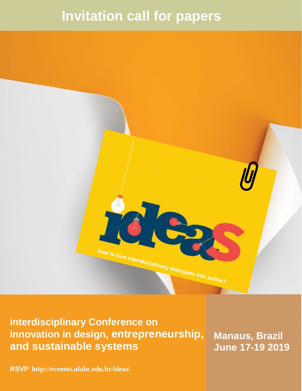# **Invitation call for papers**



**interdisciplinary Conference on innovation in design, entrepreneurship, and sustainable systems**

**Manaus, Brazil June 17-19 2019**

**RSVP <http://eventos.ufabc.edu.br/ideas/>**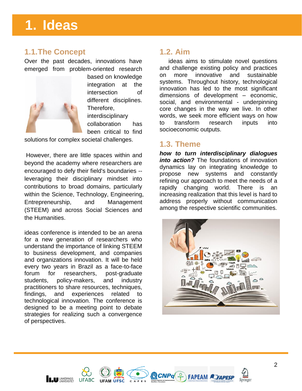# **1. Ideas**

### **1.1.The Concept**

Over the past decades, innovations have emerged from problem-oriented research



based on knowledge integration at the intersection of different disciplines. Therefore, interdisciplinary collaboration has been critical to find

solutions for complex societal challenges.

However, there are little spaces within and beyond the academy where researchers are encouraged to defy their field's boundaries - leveraging their disciplinary mindset into contributions to broad domains, particularly within the Science, Technology, Engineering, Entrepreneurship, and Management (STEEM) and across Social Sciences and the Humanities.

ideas conference is intended to be an arena for a new generation of researchers who understand the importance of linking STEEM to business development, and companies and organizations innovation. It will be held every two years in Brazil as a face-to-face forum for researchers, post-graduate students, policy-makers, and industry practitioners to share resources, techniques, findings, and experiences related to technological innovation. The conference is designed to be a meeting point to debate strategies for realizing such a convergence of perspectives.

### **1.2. Aim**

ideas aims to stimulate novel questions and challenge existing policy and practices on more innovative and sustainable systems. Throughout history, technological innovation has led to the most significant dimensions of development – economic, social, and environmental - underpinning core changes in the way we live. In other words, we seek more efficient ways on how to transform research inputs into socioeconomic outputs.

### **1.3. Theme**

*how to turn interdisciplinary dialogues into action?* The foundations of innovation dynamics lay on integrating knowledge to propose new systems and constantly refining our approach to meet the needs of a rapidly changing world. There is an increasing realization that this level is hard to address properly without communication among the respective scientific communities.



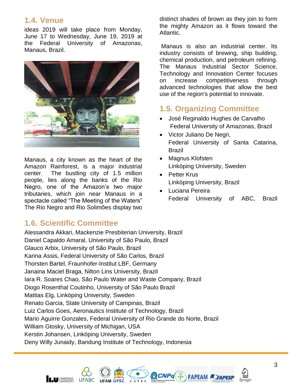### **1.4. Venue**

ideas 2019 will take place from Monday, June 17 to Wednesday, June 19, 2019 at the Federal University of Amazonas, Manaus, Brazil.



Manaus, a city known as the heart of the Amazon Rainforest, is a major industrial center. The bustling city of 1.5 million people, lies along the banks of the Rio Negro, one of the Amazon's two major tributaries, which join near Manaus in a spectacle called "The Meeting of the Waters" The [Rio Negro and Rio Solimões](https://www.savacations.com/tours/manaus-6-day-amazon-river-rio-negro-cruise/) display two

**UFABC** 

### **1.6. Scientific Committee**

Alessandra Akkari, Mackenzie Presbiterian University, Brazil Daniel Capaldo Amaral, University of São Paulo, Brazil Glauco Arbix, University of São Paulo, Brazil Karina Assis, Federal University of São Carlos, Brazil Thorsten Bartel, [Fraunhofer-Institut LBF,](https://www.lbf.fraunhofer.de/) Germany Janaina Maciel Braga, Nilton Lins University, Brazil Iara R. Soares Chao, São Paulo Water and Waste Company, Brazil Diogo Rosenthal Coutinho, University of São Paulo Brazil Mattias Elg, Linköping University, Sweden Renato Garcia, State University of Campinas, Brazil Luiz Carlos Goes, Aeronautics Institute of Technology, Brazil Mario Aguirre Gonzales, Federal University of Rio Grande do Norte, Brazil William Gtosky, University of Michigan, USA Kerstin Johansen, Linköping University, Sweden Deny Willy Junaidy, Bandung Institute of Technology, Indonesia



Manaus is also an industrial center. Its industry consists of brewing, ship building, chemical production, and petroleum refining. The Manaus Industrial Sector Science, Technology and Innovation Center focuses on increase competitiveness through advanced technologies that allow the best use of the region's potential to innovate.

## **1.5. Organizing Committee**

- José Reginaldo Hughes de Carvalho Federal University of Amazonas, Brazil
- Victor Juliano De Negri, Federal University of Santa Catarina, Brazil
- Magnus Klofsten Linköping University, Sweden
- Petter Krus Linköping University, Brazil
- Luciana Pereira Federal University of ABC, Brazil

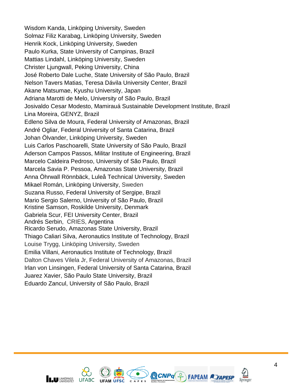Wisdom Kanda, Linköping University, Sweden Solmaz Filiz Karabag, Linköping University, Sweden Henrik Kock, Linköping University, Sweden Paulo Kurka, State University of Campinas, Brazil Mattias Lindahl, Linköping University, Sweden Christer Ljungwall, Peking University, China José Roberto Dale Luche, State University of São Paulo, Brazil Nelson Tavers Matias, Teresa Dávila University Center, Brazil Akane Matsumae, Kyushu University, Japan Adriana Marotti de Melo, University of São Paulo, Brazil Josivaldo Cesar Modesto, Mamirauá Sustainable Development Institute, Brazil Lina Moreira, GENYZ, Brazil Edleno Silva de Moura, Federal University of Amazonas, Brazil André Ogliar, Federal University of Santa Catarina, Brazil Johan Ölvander, Linköping University, Sweden Luis Carlos Paschoarelli, State University of São Paulo, Brazil Aderson Campos Passos, Militar Institute of Engineering, Brazil Marcelo Caldeira Pedroso, University of São Paulo, Brazil Marcela Savia P. Pessoa, Amazonas State University, Brazil Anna Öhrwall Rönnbäck, Luleå Technical University, Sweden Mikael Román, Linköping University, Sweden Suzana Russo, Federal University of Sergipe, Brazil Mario Sergio Salerno, University of São Paulo, Brazil Kristine Samson, Roskilde University, Denmark Gabriela Scur, FEI University Center, Brazil Andrés Serbin, CRIES, Argentina Ricardo Serudo, Amazonas State University, Brazil Thiago Caliari Silva, Aeronautics Institute of Technology, Brazil Louise Trygg, Linköping University, Sweden Emilia Villani, Aeronautics Institute of Technology, Brazil Dalton Chaves Vilela Jr, Federal University of Amazonas, Brazil Irlan von Linsingen, Federal University of Santa Catarina, Brazil Juarez Xavier, São Paulo State University, Brazil Eduardo Zancul, University of São Paulo, Brazil



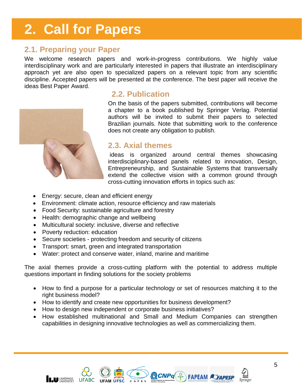# **2. Call for Papers**

### **2.1. Preparing your Paper**

We welcome research papers and work-in-progress contributions. We highly value interdisciplinary work and are particularly interested in papers that illustrate an interdisciplinary approach yet are also open to specialized papers on a relevant topic from any scientific discipline. Accepted papers will be presented at the conference. The best paper will receive the ideas Best Paper Award.



### **2.2. Publication**

On the basis of the papers submitted, contributions will become a chapter to a book published by Springer Verlag. Potential authors will be invited to submit their papers to selected Brazilian journals. Note that submitting work to the conference does not create any obligation to publish.

### **2.3. Axial themes**

ideas is organized around central themes showcasing interdisciplinary-based panels related to innovation, Design, Entrepreneurship, and Sustainable Systems that transversally extend the collective vision with a common ground through cross-cutting innovation efforts in topics such as:

- Energy: secure, clean and efficient energy
- Environment: climate action, resource efficiency and raw materials
- Food Security: sustainable agriculture and forestry
- Health: demographic change and wellbeing
- Multicultural society: inclusive, diverse and reflective
- Poverty reduction: education

**INCU** UNKÖPINGS

**UFARC** 

- Secure societies protecting freedom and security of citizens
- Transport: smart, green and integrated transportation
- Water: protect and conserve water, inland, marine and maritime

The axial themes provide a cross-cutting platform with the potential to address multiple questions important in finding solutions for the society problems

- How to find a purpose for a particular technology or set of resources matching it to the right business model?
- How to identify and create new opportunities for business development?
- How to design new independent or corporate business initiatives?
- How established multinational and Small and Medium Companies can strengthen capabilities in designing innovative technologies as well as commercializing them.



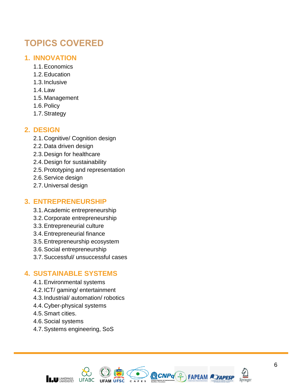## **TOPICS COVERED**

### **1. INNOVATION**

- 1.1.Economics
- 1.2.Education
- 1.3.Inclusive
- 1.4.Law
- 1.5.Management
- 1.6.Policy
- 1.7.Strategy

### **2. DESIGN**

- 2.1.Cognitive/ Cognition design
- 2.2.Data driven design
- 2.3.Design for healthcare
- 2.4.Design for sustainability
- 2.5.Prototyping and representation
- 2.6.Service design
- 2.7.Universal design

### **3. ENTREPRENEURSHIP**

- 3.1.Academic entrepreneurship
- 3.2.Corporate entrepreneurship
- 3.3.Entrepreneurial culture
- 3.4.Entrepreneurial finance
- 3.5.Entrepreneurship ecosystem
- 3.6.Social entrepreneurship
- 3.7.Successful/ unsuccessful cases

### **4. SUSTAINABLE SYSTEMS**

- 4.1.Environmental systems
- 4.2.ICT/ gaming / entertainment
- 4.3.Industrial / automation / robotics
- 4.4.Cyber physical systems
- 4.5.Smart cities .
- 4.6.Social systems
- 4.7.Systems engineering , SoS



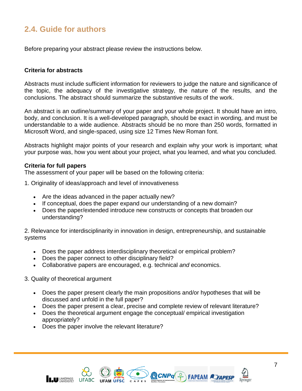## **2.4. Guide for authors**

Before preparing your abstract please review the instructions below.

### **Criteria for abstracts**

Abstracts must include sufficient information for reviewers to judge the nature and significance of the topic, the adequacy of the investigative strategy, the nature of the results, and the conclusions. The abstract should summarize the substantive results of the work.

An abstract is an outline/summary of your paper and your whole project. It should have an intro, body, and conclusion. It is a well-developed paragraph, should be exact in wording, and must be understandable to a wide audience. Abstracts should be no more than 250 words, formatted in Microsoft Word, and single-spaced, using size 12 Times New Roman font.

Abstracts highlight major points of your research and explain why your work is important; what your purpose was, how you went about your project, what you learned, and what you concluded.

### **Criteria for full papers**

The assessment of your paper will be based on the following criteria:

- 1. Originality of ideas/approach and level of innovativeness
	- Are the ideas advanced in the paper actually new?
	- If conceptual, does the paper expand our understanding of a new domain?
	- Does the paper/extended introduce new constructs or concepts that broaden our understanding?

2. Relevance for interdisciplinarity in innovation in design, entrepreneurship, and sustainable systems

- Does the paper address interdisciplinary theoretical or empirical problem?
- Does the paper connect to other disciplinary field?
- Collaborative papers are encouraged, e.g. technical *and* economics.

#### 3. Quality of theoretical argument

- Does the paper present clearly the main propositions and/or hypotheses that will be discussed and unfold in the full paper?
- Does the paper present a clear, precise and complete review of relevant literature?
- Does the theoretical argument engage the conceptual/ empirical investigation appropriately?
- Does the paper involve the relevant literature?